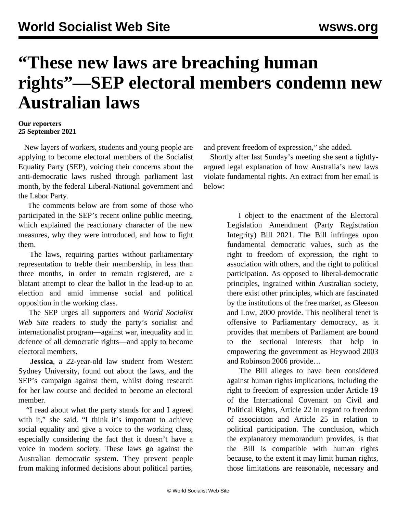## **"These new laws are breaching human rights"—SEP electoral members condemn new Australian laws**

## **Our reporters 25 September 2021**

 New layers of workers, students and young people are applying to become electoral members of the Socialist Equality Party (SEP), voicing their concerns about the anti-democratic laws rushed through parliament last month, by the federal Liberal-National government and the Labor Party.

 The comments below are from some of those who participated in the SEP's recent [online public meeting,](/en/articles/2021/09/21/sepm-s21.html) which explained the reactionary character of the new measures, why they were introduced, and how to fight them.

 The laws, requiring parties without parliamentary representation to treble their membership, in less than three months, in order to remain registered, are a blatant attempt to clear the ballot in the lead-up to an election and amid immense social and political opposition in the working class.

 The SEP urges all supporters and *World Socialist Web Site* readers to study the party's socialist and internationalist program—against war, inequality and in defence of all democratic rights—and apply to become [electoral members.](/en/special/pages/sep/australia/home.html#emjoin)

 **Jessica**, a 22-year-old law student from Western Sydney University, found out about the laws, and the SEP's campaign against them, whilst doing research for her law course and decided to become an electoral member.

 "I read about what the party stands for and I agreed with it," she said. "I think it's important to achieve social equality and give a voice to the working class, especially considering the fact that it doesn't have a voice in modern society. These laws go against the Australian democratic system. They prevent people from making informed decisions about political parties,

and prevent freedom of expression," she added.

 Shortly after last Sunday's meeting she sent a tightlyargued legal explanation of how Australia's new laws violate fundamental rights. An extract from her email is below:

> I object to the enactment of the Electoral Legislation Amendment (Party Registration Integrity) Bill 2021. The Bill infringes upon fundamental democratic values, such as the right to freedom of expression, the right to association with others, and the right to political participation. As opposed to liberal-democratic principles, ingrained within Australian society, there exist other principles, which are fascinated by the institutions of the free market, as Gleeson and Low, 2000 provide. This neoliberal tenet is offensive to Parliamentary democracy, as it provides that members of Parliament are bound to the sectional interests that help in empowering the government as Heywood 2003 and Robinson 2006 provide…

> The Bill alleges to have been considered against human rights implications, including the right to freedom of expression under Article 19 of the International Covenant on Civil and Political Rights, Article 22 in regard to freedom of association and Article 25 in relation to political participation. The conclusion, which the explanatory memorandum provides, is that the Bill is compatible with human rights because, to the extent it may limit human rights, those limitations are reasonable, necessary and